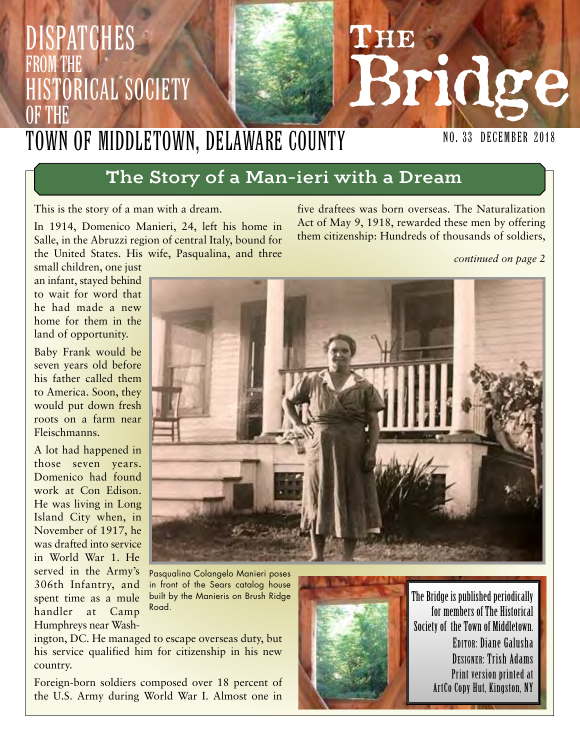## 3283 Bridge **NO. 33 DECEMBER 2018** Dispatches from the Historical Society of the Town of Middletown, Delaware County

# The Story of a Man-ieri with a Dream

This is the story of a man with a dream.

In 1914, Domenico Manieri, 24, left his home in Salle, in the Abruzzi region of central Italy, bound for the United States. His wife, Pasqualina, and three

five draftees was born overseas. The Naturalization Act of May 9, 1918, rewarded these men by offering them citizenship: Hundreds of thousands of soldiers,

#### *continued on page 2*

small children, one just an infant, stayed behind to wait for word that he had made a new home for them in the land of opportunity.

Baby Frank would be seven years old before his father called them to America. Soon, they would put down fresh roots on a farm near Fleischmanns.

A lot had happened in those seven years. Domenico had found work at Con Edison. He was living in Long Island City when, in November of 1917, he was drafted into service in World War 1. He served in the Army's 306th Infantry, and spent time as a mule handler at Camp Humphreys near Wash-

Pasqualina Colangelo Manieri poses in front of the Sears catalog house built by the Manieris on Brush Ridge Road.

ington, DC. He managed to escape overseas duty, but his service qualified him for citizenship in his new country.

Foreign-born soldiers composed over 18 percent of the U.S. Army during World War I. Almost one in



The Bridge is published periodically for members of The Historical Society of the Town of Middletown. EDITOR: Diane Galusha DESIGNER: Trish Adams Print version printed at ArtCo Copy Hut, Kingston, NY

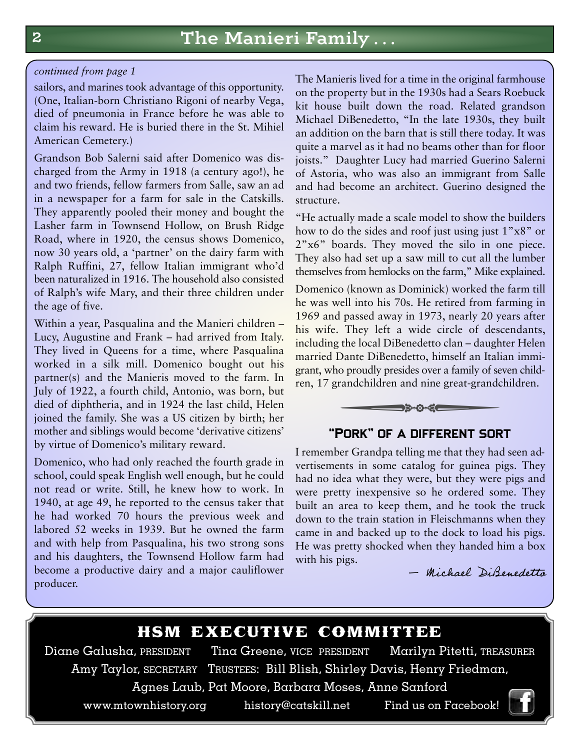#### *continued from page 1*

sailors, and marines took advantage of this opportunity. (One, Italian-born Christiano Rigoni of nearby Vega, died of pneumonia in France before he was able to claim his reward. He is buried there in the St. Mihiel American Cemetery.)

Grandson Bob Salerni said after Domenico was discharged from the Army in 1918 (a century ago!), he and two friends, fellow farmers from Salle, saw an ad in a newspaper for a farm for sale in the Catskills. They apparently pooled their money and bought the Lasher farm in Townsend Hollow, on Brush Ridge Road, where in 1920, the census shows Domenico, now 30 years old, a 'partner' on the dairy farm with Ralph Ruffini, 27, fellow Italian immigrant who'd been naturalized in 1916. The household also consisted of Ralph's wife Mary, and their three children under the age of five.

Within a year, Pasqualina and the Manieri children – Lucy, Augustine and Frank – had arrived from Italy. They lived in Queens for a time, where Pasqualina worked in a silk mill. Domenico bought out his partner(s) and the Manieris moved to the farm. In July of 1922, a fourth child, Antonio, was born, but died of diphtheria, and in 1924 the last child, Helen joined the family. She was a US citizen by birth; her mother and siblings would become 'derivative citizens' by virtue of Domenico's military reward.

Domenico, who had only reached the fourth grade in school, could speak English well enough, but he could not read or write. Still, he knew how to work. In 1940, at age 49, he reported to the census taker that he had worked 70 hours the previous week and labored 52 weeks in 1939. But he owned the farm and with help from Pasqualina, his two strong sons and his daughters, the Townsend Hollow farm had become a productive dairy and a major cauliflower producer.

The Manieris lived for a time in the original farmhouse on the property but in the 1930s had a Sears Roebuck kit house built down the road. Related grandson Michael DiBenedetto, "In the late 1930s, they built an addition on the barn that is still there today. It was quite a marvel as it had no beams other than for floor joists." Daughter Lucy had married Guerino Salerni of Astoria, who was also an immigrant from Salle and had become an architect. Guerino designed the structure.

"He actually made a scale model to show the builders how to do the sides and roof just using just 1"x8" or 2"x6" boards. They moved the silo in one piece. They also had set up a saw mill to cut all the lumber themselves from hemlocks on the farm," Mike explained.

Domenico (known as Dominick) worked the farm till he was well into his 70s. He retired from farming in 1969 and passed away in 1973, nearly 20 years after his wife. They left a wide circle of descendants, including the local DiBenedetto clan – daughter Helen married Dante DiBenedetto, himself an Italian immigrant, who proudly presides over a family of seven children, 17 grandchildren and nine great-grandchildren. passed away in 1973, nearly 20 y<br>passed away in 1973, nearly 20 y<br>They left a wide circle of des<br>the local DiBenedetto clan – daugh<br>Dante DiBenedetto, himself an Ital<br>proudly presides over a family of se<br>andchildren and ni



### "Pork" of a different sort

I remember Grandpa telling me that they had seen advertisements in some catalog for guinea pigs. They had no idea what they were, but they were pigs and were pretty inexpensive so he ordered some. They built an area to keep them, and he took the truck down to the train station in Fleischmanns when they came in and backed up to the dock to load his pigs. He was pretty shocked when they handed him a box with his pigs.

— Michael DiBenedetto

**HSM EXECUTIVE COMMITTEE**<br>Diane Galusha, PRESIDENT Tina Greene, VICE PRESIDENT Marilyn Pitetti, TREASURER Tina Greene, VICE PRESIDENT Amy Taylor, SECRETARY TRUSTEES: Bill Blish, Shirley Davis, Henry Friedman,

Agnes Laub, Pat Moore, Barbara Moses, Anne Sanford

www.mtownhistory.org history@catskill.net Find us on Facebook!

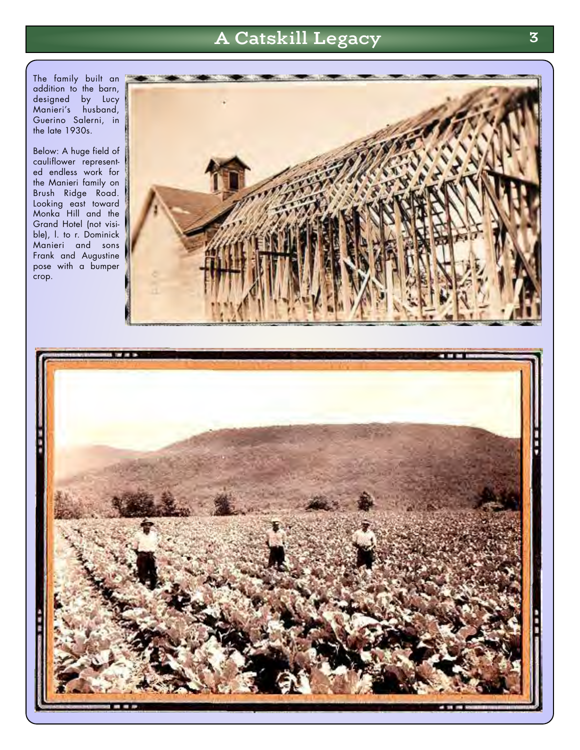# A Catskill Legacy 3

The family built an addition to the barn, designed by Lucy Manieri's husband, Guerino Salerni, in the late 1930s.

Below: A huge field of cauliflower represented endless work for the Manieri family on Brush Ridge Road. Looking east toward Monka Hill and the Grand Hotel (not visible), I. to r. Dominick Manieri and sons Frank and Augustine pose with a bumper .<br>crop.



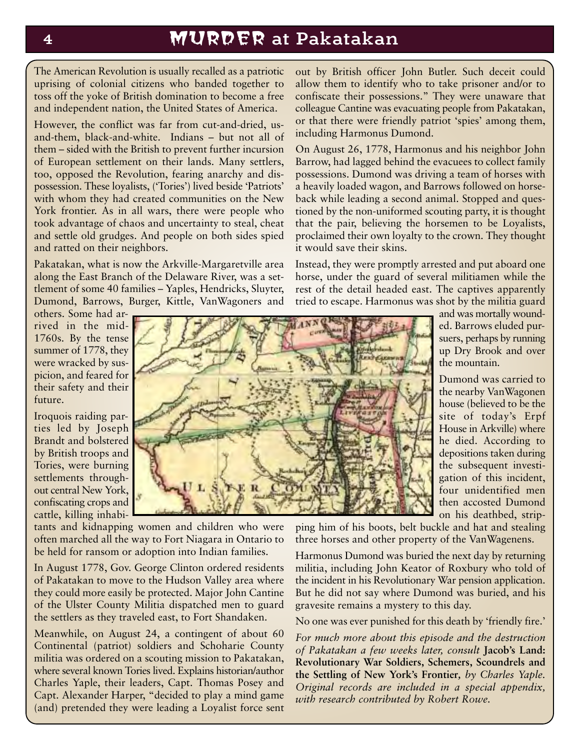# <sup>4</sup> MURDER at Pakatakan

The American Revolution is usually recalled as a patriotic uprising of colonial citizens who banded together to toss off the yoke of British domination to become a free and independent nation, the United States of America.

However, the conflict was far from cut-and-dried, usand-them, black-and-white. Indians – but not all of them – sided with the British to prevent further incursion of European settlement on their lands. Many settlers, too, opposed the Revolution, fearing anarchy and dispossession. These loyalists, ('Tories') lived beside 'Patriots' with whom they had created communities on the New York frontier. As in all wars, there were people who took advantage of chaos and uncertainty to steal, cheat and settle old grudges. And people on both sides spied and ratted on their neighbors.

Pakatakan, what is now the Arkville-Margaretville area along the East Branch of the Delaware River, was a settlement of some 40 families – Yaples, Hendricks, Sluyter, Dumond, Barrows, Burger, Kittle, VanWagoners and

out by British officer John Butler. Such deceit could allow them to identify who to take prisoner and/or to confiscate their possessions." They were unaware that colleague Cantine was evacuating people from Pakatakan, or that there were friendly patriot 'spies' among them, including Harmonus Dumond.

On August 26, 1778, Harmonus and his neighbor John Barrow, had lagged behind the evacuees to collect family possessions. Dumond was driving a team of horses with a heavily loaded wagon, and Barrows followed on horseback while leading a second animal. Stopped and questioned by the non-uniformed scouting party, it is thought that the pair, believing the horsemen to be Loyalists, proclaimed their own loyalty to the crown. They thought it would save their skins.

Instead, they were promptly arrested and put aboard one horse, under the guard of several militiamen while the rest of the detail headed east. The captives apparently tried to escape. Harmonus was shot by the militia guard

others. Some had arrived in the mid-1760s. By the tense summer of 1778, they were wracked by suspicion, and feared for their safety and their future.

Iroquois raiding parties led by Joseph Brandt and bolstered by British troops and Tories, were burning settlements throughout central New York, confiscating crops and cattle, killing inhabi-



tants and kidnapping women and children who were often marched all the way to Fort Niagara in Ontario to be held for ransom or adoption into Indian families.

In August 1778, Gov. George Clinton ordered residents of Pakatakan to move to the Hudson Valley area where they could more easily be protected. Major John Cantine of the Ulster County Militia dispatched men to guard the settlers as they traveled east, to Fort Shandaken.

Meanwhile, on August 24, a contingent of about 60 Continental (patriot) soldiers and Schoharie County militia was ordered on a scouting mission to Pakatakan, where several known Tories lived. Explains historian/author Charles Yaple, their leaders, Capt. Thomas Posey and Capt. Alexander Harper, "decided to play a mind game (and) pretended they were leading a Loyalist force sent and was mortally wounded. Barrows eluded pursuers, perhaps by running up Dry Brook and over the mountain.

Dumond was carried to the nearby VanWagonen house (believed to be the site of today's Erpf House in Arkville) where he died. According to depositions taken during the subsequent investigation of this incident, four unidentified men then accosted Dumond on his deathbed, strip-

ping him of his boots, belt buckle and hat and stealing three horses and other property of the VanWagenens.

Harmonus Dumond was buried the next day by returning militia, including John Keator of Roxbury who told of the incident in his Revolutionary War pension application. But he did not say where Dumond was buried, and his gravesite remains a mystery to this day.

No one was ever punished for this death by 'friendly fire.'

*For much more about this episode and the destruction of Pakatakan a few weeks later, consult* **Jacob's Land: Revolutionary War Soldiers, Schemers, Scoundrels and the Settling of New York's Frontier***, by Charles Yaple. Original records are included in a special appendix, with research contributed by Robert Rowe.*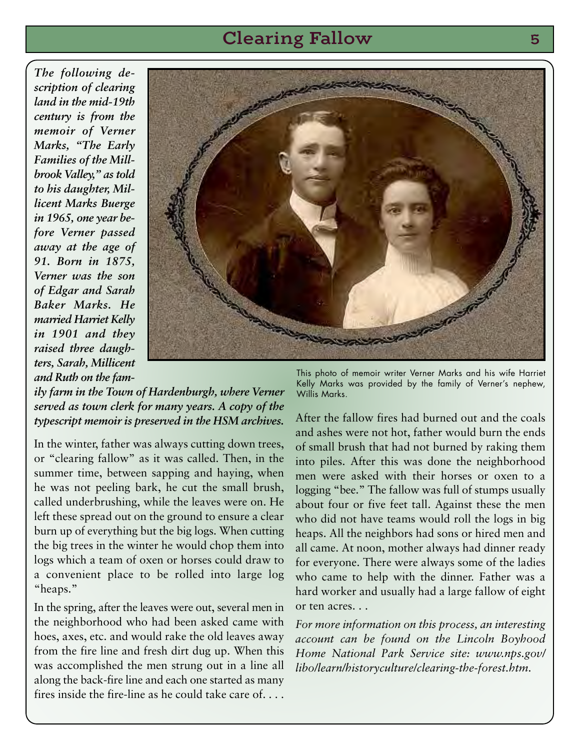## Clearing Fallow 5

*The following description of clearing land in the mid-19th century is from the memoir of Verner Marks, "The Early Families of the Millbrook Valley," as told to his daughter, Millicent Marks Buerge in 1965, one year before Verner passed away at the age of 91. Born in 1875, Verner was the son of Edgar and Sarah Baker Marks. He married Harriet Kelly in 1901 and they raised three daughters, Sarah, Millicent and Ruth on the fam-*



*ily farm in the Town of Hardenburgh, where Verner served as town clerk for many years. A copy of the typescript memoir is preserved in the HSM archives.*

In the winter, father was always cutting down trees, or "clearing fallow" as it was called. Then, in the summer time, between sapping and haying, when he was not peeling bark, he cut the small brush, called underbrushing, while the leaves were on. He left these spread out on the ground to ensure a clear burn up of everything but the big logs. When cutting the big trees in the winter he would chop them into logs which a team of oxen or horses could draw to a convenient place to be rolled into large log "heaps."

In the spring, after the leaves were out, several men in the neighborhood who had been asked came with hoes, axes, etc. and would rake the old leaves away from the fire line and fresh dirt dug up. When this was accomplished the men strung out in a line all along the back-fire line and each one started as many fires inside the fire-line as he could take care of. . . .

This photo of memoir writer Verner Marks and his wife Harriet Kelly Marks was provided by the family of Verner's nephew, Willis Marks.

After the fallow fires had burned out and the coals and ashes were not hot, father would burn the ends of small brush that had not burned by raking them into piles. After this was done the neighborhood men were asked with their horses or oxen to a logging "bee." The fallow was full of stumps usually about four or five feet tall. Against these the men who did not have teams would roll the logs in big heaps. All the neighbors had sons or hired men and all came. At noon, mother always had dinner ready for everyone. There were always some of the ladies who came to help with the dinner. Father was a hard worker and usually had a large fallow of eight or ten acres. . .

*For more information on this process, an interesting account can be found on the Lincoln Boyhood Home National Park Service site: www.nps.gov/ libo/learn/historyculture/clearing-the-forest.htm.*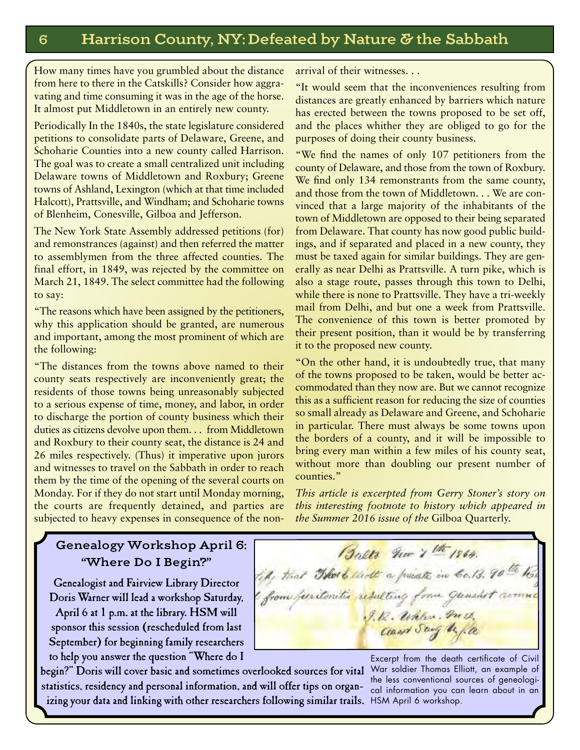How many times have you grumbled about the distance from here to there in the Catskills? Consider how aggravating and time consuming it was in the age of the horse. It almost put Middletown in an entirely new county.

Periodically In the 1840s, the state legislature considered petitions to consolidate parts of Delaware, Greene, and Schoharie Counties into a new county called Harrison. The goal was to create a small centralized unit including Delaware towns of Middletown and Roxbury; Greene towns of Ashland, Lexington (which at that time included Halcott), Prattsville, and Windham; and Schoharie towns of Blenheim, Conesville, Gilboa and Jefferson.

The New York State Assembly addressed petitions (for) and remonstrances (against) and then referred the matter to assemblymen from the three affected counties. The final effort, in 1849, was rejected by the committee on March 21, 1849. The select committee had the following to say:

"The reasons which have been assigned by the petitioners, why this application should be granted, are numerous and important, among the most prominent of which are the following:

"The distances from the towns above named to their county seats respectively are inconveniently great; the residents of those towns being unreasonably subjected to a serious expense of time, money, and labor, in order to discharge the portion of county business which their duties as citizens devolve upon them. . . from Middletown and Roxbury to their county seat, the distance is 24 and 26 miles respectively. (Thus) it imperative upon jurors and witnesses to travel on the Sabbath in order to reach them by the time of the opening of the several courts on Monday. For if they do not start until Monday morning, the courts are frequently detained, and parties are subjected to heavy expenses in consequence of the nonarrival of their witnesses. . .

"It would seem that the inconveniences resulting from distances are greatly enhanced by barriers which nature has erected between the towns proposed to be set off, and the places whither they are obliged to go for the purposes of doing their county business.

"We find the names of only 107 petitioners from the county of Delaware, and those from the town of Roxbury. We find only 134 remonstrants from the same county, and those from the town of Middletown. . . We are convinced that a large majority of the inhabitants of the town of Middletown are opposed to their being separated from Delaware. That county has now good public buildings, and if separated and placed in a new county, they must be taxed again for similar buildings. They are generally as near Delhi as Prattsville. A turn pike, which is also a stage route, passes through this town to Delhi, while there is none to Prattsville. They have a tri-weekly mail from Delhi, and but one a week from Prattsville. The convenience of this town is better promoted by their present position, than it would be by transferring it to the proposed new county.

"On the other hand, it is undoubtedly true, that many of the towns proposed to be taken, would be better accommodated than they now are. But we cannot recognize this as a sufficient reason for reducing the size of counties so small already as Delaware and Greene, and Schoharie in particular. There must always be some towns upon the borders of a county, and it will be impossible to bring every man within a few miles of his county seat, without more than doubling our present number of counties."

*This article is excerpted from Gerry Stoner's story on this interesting footnote to history which appeared in the Summer 2016 issue of the* Gilboa Quarterly.

## Genealogy Workshop April 6: "Where Do I Begin?"

Genealogist and Fairview Library Director Doris Warner will lead a workshop Saturday, April 6 at 1 p.m. at the library. HSM will sponsor this session (rescheduled from last September) for beginning family researchers to help you answer the question "Where do I

Balts nov 1 th 1864. tip, that That a little a present in Co. 13. 90 th hos from furitoritis resulting from gunshet runner J. R. Wales. m. Cand Say before

begin?" Doris will cover basic and sometimes overlooked sources for vital statistics, residency and personal information, and will offer tips on organizing your data and linking with other researchers following similar trails. HSM April 6 workshop.

Excerpt from the death certificate of Civil War soldier Thomas Elliott, an example of the less conventional sources of geneological information you can learn about in an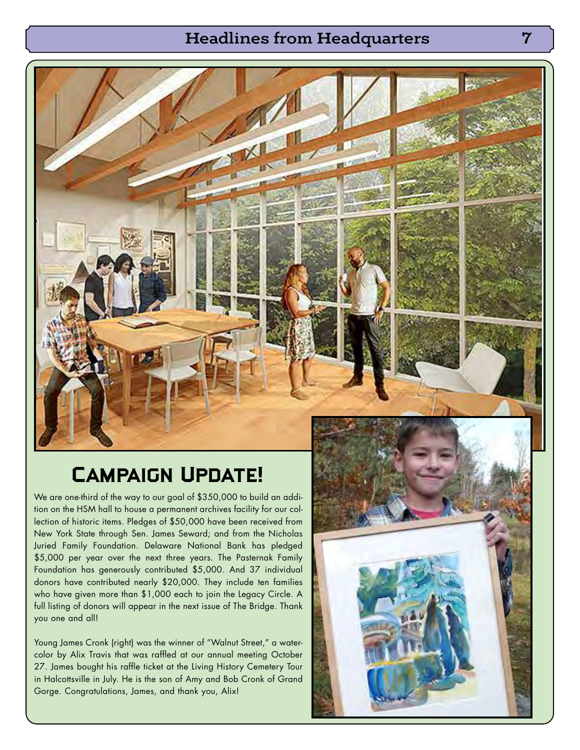## Headlines from Headquarters 7

# Campaign Update!

We are one-third of the way to our goal of \$350,000 to build an addition on the HSM hall to house a permanent archives facility for our collection of historic items. Pledges of \$50,000 have been received from New York State through Sen. James Seward; and from the Nicholas Juried Family Foundation. Delaware National Bank has pledged \$5,000 per year over the next three years. The Pasternak Family Foundation has generously contributed \$5,000. And 37 individual donors have contributed nearly \$20,000. They include ten families who have given more than \$1,000 each to join the Legacy Circle. A full listing of donors will appear in the next issue of The Bridge. Thank you one and all!

Young James Cronk (right) was the winner of "Walnut Street," a watercolor by Alix Travis that was raffled at our annual meeting October 27. James bought his raffle ticket at the Living History Cemetery Tour in Halcottsville in July. He is the son of Amy and Bob Cronk of Grand Gorge. Congratulations, James, and thank you, Alix!